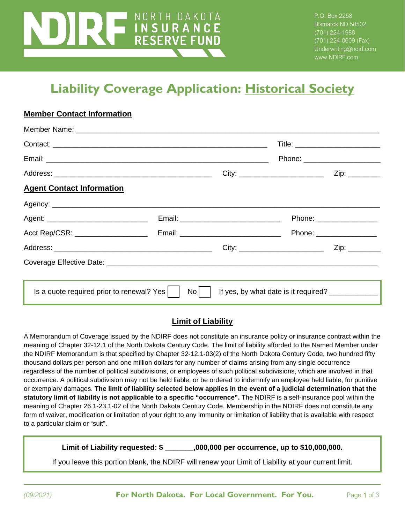# NORTH DAKOTA **THE COVERANCE**<br>RESERVE FUND

P.O. Box 2258 Bismarck ND 58502 (701) 224-1988 (701) 224-0609 (Fax) Underwriting@ndirf.com www.NDIRF.com

# **Liability Coverage Application: Historical Society**

#### **Member Contact Information**

|                                           |      | Phone: ________________________ |
|-------------------------------------------|------|---------------------------------|
|                                           |      |                                 |
|                                           |      |                                 |
|                                           |      |                                 |
|                                           |      | Phone: _________________        |
|                                           |      |                                 |
|                                           |      | Zip: ________                   |
|                                           |      |                                 |
|                                           |      |                                 |
|                                           |      |                                 |
| Is a quote required prior to renewal? Yes | $No$ |                                 |

#### **Limit of Liability**

A Memorandum of Coverage issued by the NDIRF does not constitute an insurance policy or insurance contract within the meaning of Chapter 32-12.1 of the North Dakota Century Code. The limit of liability afforded to the Named Member under the NDIRF Memorandum is that specified by Chapter 32-12.1-03(2) of the North Dakota Century Code, two hundred fifty thousand dollars per person and one million dollars for any number of claims arising from any single occurrence regardless of the number of political subdivisions, or employees of such political subdivisions, which are involved in that occurrence. A political subdivision may not be held liable, or be ordered to indemnify an employee held liable, for punitive or exemplary damages. **The limit of liability selected below applies in the event of a judicial determination that the statutory limit of liability is not applicable to a specific "occurrence".** The NDIRF is a self-insurance pool within the meaning of Chapter 26.1-23.1-02 of the North Dakota Century Code. Membership in the NDIRF does not constitute any form of waiver, modification or limitation of your right to any immunity or limitation of liability that is available with respect to a particular claim or "suit".

**Limit of Liability requested: \$ \_\_\_\_\_\_\_,000,000 per occurrence, up to \$10,000,000.**

If you leave this portion blank, the NDIRF will renew your Limit of Liability at your current limit.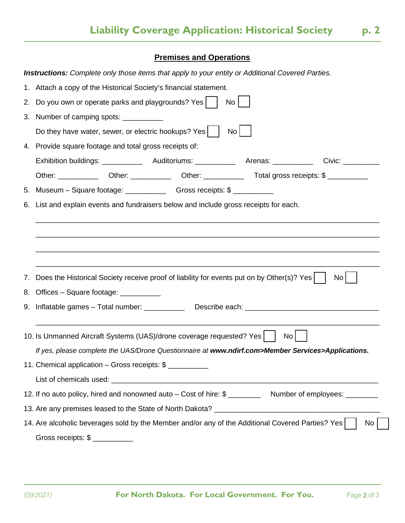## **Premises and Operations**

 $\overline{a}$ 

|                 | <b>Instructions:</b> Complete only those items that apply to your entity or Additional Covered Parties.             |
|-----------------|---------------------------------------------------------------------------------------------------------------------|
|                 | 1. Attach a copy of the Historical Society's financial statement.                                                   |
| 2.              | Do you own or operate parks and playgrounds? Yes<br>No                                                              |
|                 | 3. Number of camping spots: __________                                                                              |
|                 | Do they have water, sewer, or electric hookups? Yes<br>No <sub>1</sub>                                              |
|                 | 4. Provide square footage and total gross receipts of:                                                              |
|                 |                                                                                                                     |
|                 |                                                                                                                     |
| 5.              |                                                                                                                     |
|                 | 6. List and explain events and fundraisers below and include gross receipts for each.                               |
|                 |                                                                                                                     |
|                 |                                                                                                                     |
|                 |                                                                                                                     |
|                 |                                                                                                                     |
| $\mathcal{L}$ . | Does the Historical Society receive proof of liability for events put on by Other(s)? Yes<br>No                     |
| 8.              | Offices – Square footage: ___________                                                                               |
|                 |                                                                                                                     |
|                 |                                                                                                                     |
|                 | 10. Is Unmanned Aircraft Systems (UAS)/drone coverage requested? Yes<br>No <sub>1</sub>                             |
|                 | If yes, please complete the UAS/Drone Questionnaire at www.ndirf.com>Member Services>Applications.                  |
|                 | 11. Chemical application - Gross receipts: \$                                                                       |
|                 |                                                                                                                     |
|                 | 12. If no auto policy, hired and nonowned auto - Cost of hire: \$ ____________ Number of employees: _______         |
|                 |                                                                                                                     |
|                 | 14. Are alcoholic beverages sold by the Member and/or any of the Additional Covered Parties? Yes<br>No <sub>1</sub> |
|                 | Gross receipts: \$                                                                                                  |